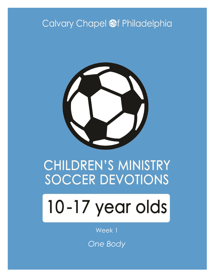# Calvary Chapel @f Philadelphia



# **CHILDREN'S MINISTRY SOCCER DEVOTIONS**

# 10-17 year olds

Week 1

*One Body*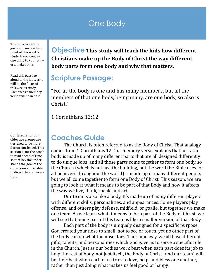## One Body

The objective is the goal or main teaching point of this week's study. If you convey one thing to your players, make it this.

Read this passage aloud to the kids, as it will be the focus of this week's study. Each week's memory verse will be in bold.

Our lessons for our older age groups are designed to be more discussion-based. This section is for the coach to read ahead of time so that he/she understands the goal of the discussion and is able to direct the conversation.

**Objective This study will teach the kids how different Christians make up the Body of Christ the way different body parts form one body and why that matters.**

#### **Scripture Passage:**

"For as the body is one and has many members, but all the members of that one body, being many, are one body, so also is Christ."

1 Corinthians 12:12

#### **Coaches Guide**

The Church is often referred to as the Body of Christ. That analogy comes from 1 Corinthians 12. Our memory verse explains that just as a body is made up of many different parts that are all designed differently to do unique jobs, and all those parts come together to form one body, so the Church (which is not just the building, but the word the Bible uses for all believers throughout the world) is made up of many different people, but we all come together to form one Body of Christ. This season, we are going to look at what it means to be part of that Body and how it affects the way we live, think, speak, and act.

Our team is also like a body. It's made up of many different players with different skills, personalities, and appearances. Some players play offense, and others play defense, midfield, or goalie, but together we make one team. As we learn what it means to be a part of the Body of Christ, we will see that being part of this team is like a smaller version of that Body.

Each part of the body is uniquely designed for a specific purpose. God created your nose to smell, not to see or touch, yet no other part of the body can do what the nose does. The same way, we all have different gifts, talents, and personalities which God gave us to serve a specific role in the Church. Just as our bodies work best when each part does its job to help the rest of body, not just itself, the Body of Christ (and our team) will be their best when each of us tries to love, help, and bless one another, rather than just doing what makes us feel good or happy.